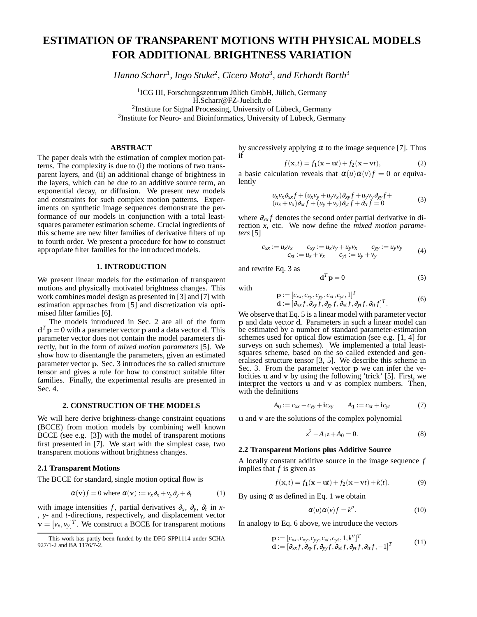# **ESTIMATION OF TRANSPARENT MOTIONS WITH PHYSICAL MODELS FOR ADDITIONAL BRIGHTNESS VARIATION**

*Hanno Scharr*<sup>1</sup> *, Ingo Stuke*<sup>2</sup> *, Cicero Mota*<sup>3</sup> *, and Erhardt Barth*<sup>3</sup>

<sup>1</sup>ICG III, Forschungszentrum Jülich GmbH, Jülich, Germany H.Scharr@FZ-Juelich.de

<sup>2</sup>Institute for Signal Processing, University of Lübeck, Germany <sup>3</sup>Institute for Neuro- and Bioinformatics, University of Lübeck, Germany

## **ABSTRACT**

The paper deals with the estimation of complex motion patterns. The complexity is due to (i) the motions of two transparent layers, and (ii) an additional change of brightness in the layers, which can be due to an additive source term, an exponential decay, or diffusion. We present new models and constraints for such complex motion patterns. Experiments on synthetic image sequences demonstrate the performance of our models in conjunction with a total leastsquares parameter estimation scheme. Crucial ingredients of this scheme are new filter families of derivative filters of up to fourth order. We present a procedure for how to construct appropriate filter families for the introduced models.

## **1. INTRODUCTION**

We present linear models for the estimation of transparent motions and physically motivated brightness changes. This work combines model design as presented in [3] and [7] with estimation approaches from [5] and discretization via optimised filter families [6].

The models introduced in Sec. 2 are all of the form  $\mathbf{d}^T \mathbf{p} = 0$  with a parameter vector p and a data vector **d**. This parameter vector does not contain the model parameters directly, but in the form of *mixed motion parameters* [5]. We show how to disentangle the parameters, given an estimated parameter vector p. Sec. 3 introduces the so called structure tensor and gives a rule for how to construct suitable filter families. Finally, the experimental results are presented in Sec. 4.

## **2. CONSTRUCTION OF THE MODELS**

We will here derive brightness-change constraint equations (BCCE) from motion models by combining well known BCCE (see e.g. [3]) with the model of transparent motions first presented in [7]. We start with the simplest case, two transparent motions without brightness changes.

#### **2.1 Transparent Motions**

The BCCE for standard, single motion optical flow is

$$
\alpha(\mathbf{v})f = 0 \text{ where } \alpha(\mathbf{v}) := v_x \partial_x + v_y \partial_y + \partial_t \tag{1}
$$

with image intensities *f*, partial derivatives  $\partial_x$ ,  $\partial_y$ ,  $\partial_t$  in *x*-, *y*- and *t*-directions, respectively, and displacement vector  $\mathbf{v} = [v_x, v_y]^T$ . We construct a BCCE for transparent motions

by successively applying  $\alpha$  to the image sequence [7]. Thus if

$$
f(\mathbf{x},t) = f_1(\mathbf{x} - \mathbf{u}t) + f_2(\mathbf{x} - \mathbf{v}t),
$$
 (2)

a basic calculation reveals that  $\alpha(u)\alpha(v)f = 0$  or equivalently

$$
u_xv_x\partial_{xx}f + (u_xv_y + u_yv_x)\partial_{xy}f + u_yv_y\partial_{yy}f + (u_x + v_x)\partial_{xt}f + (u_y + v_y)\partial_{yt}f + \partial_{tt}f = 0
$$
\n(3)

where  $\partial_{xx} f$  denotes the second order partial derivative in direction *x*, etc. We now define the *mixed motion parameters* [5]

$$
c_{xx} := u_x v_x \t c_{xy} := u_x v_y + u_y v_x \t c_{yy} := u_y v_y \t (4)
$$
  

$$
c_{xt} := u_x + v_x \t c_{yt} := u_y + v_y
$$

and rewrite Eq. 3 as

$$
\mathbf{d}^T \mathbf{p} = 0 \tag{5}
$$

with

$$
\mathbf{p} := [c_{xx}, c_{xy}, c_{yy}, c_{xt}, c_{yt}, 1]^T \n\mathbf{d} := [\partial_{xx} f, \partial_{xy} f, \partial_{yy} f, \partial_{xt} f, \partial_{yt} f, \partial_{tt} f]^T.
$$
\n(6)

We observe that Eq. 5 is a linear model with parameter vector p and data vector d. Parameters in such a linear model can be estimated by a number of standard parameter-estimation schemes used for optical flow estimation (see e.g. [1, 4] for surveys on such schemes). We implemented a total leastsquares scheme, based on the so called extended and generalised structure tensor [3, 5]. We describe this scheme in Sec. 3. From the parameter vector p we can infer the velocities u and v by using the following 'trick' [5]. First, we interpret the vectors u and v as complex numbers. Then, with the definitions

$$
A_0 := c_{xx} - c_{yy} + i c_{xy} \qquad A_1 := c_{xt} + i c_{yt} \qquad (7)
$$

u and v are the solutions of the complex polynomial

$$
z^2 - A_1 z + A_0 = 0.
$$
 (8)

## **2.2 Transparent Motions plus Additive Source**

A locally constant additive source in the image sequence *f* implies that *f* is given as

$$
f(\mathbf{x},t) = f_1(\mathbf{x} - \mathbf{u}t) + f_2(\mathbf{x} - \mathbf{v}t) + k(t).
$$
 (9)

By using  $\alpha$  as defined in Eq. 1 we obtain

$$
\alpha(u)\alpha(v)f = k''.
$$
 (10)

In analogy to Eq. 6 above, we introduce the vectors

$$
\mathbf{p} := [c_{xx}, c_{xy}, c_{yy}, c_{xt}, c_{yt}, 1, k'']^T \mathbf{d} := [\partial_{xx} f, \partial_{xy} f, \partial_{yy} f, \partial_{xt} f, \partial_{yt} f, \partial_{tt} f, -1]^T
$$
\n(11)

This work has partly been funded by the DFG SPP1114 under SCHA 927/1-2 and BA 1176/7-2.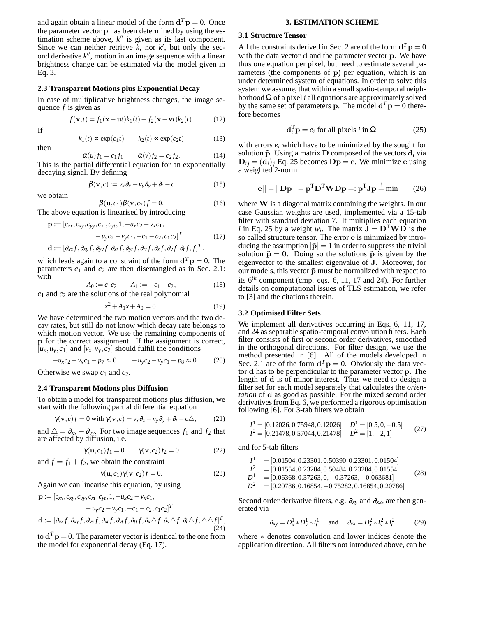and again obtain a linear model of the form  $\mathbf{d}^T \mathbf{p} = 0$ . Once the parameter vector p has been determined by using the estimation scheme above,  $k''$  is given as its last component. Since we can neither retrieve  $k$ , nor  $k'$ , but only the second derivative k'', motion in an image sequence with a linear brightness change can be estimated via the model given in Eq. 3.

#### **2.3 Transparent Motions plus Exponential Decay**

In case of multiplicative brightness changes, the image sequence *f* is given as

$$
f(\mathbf{x},t) = f_1(\mathbf{x} - \mathbf{u}t)k_1(t) + f_2(\mathbf{x} - \mathbf{v}t)k_2(t).
$$
 (12)

If

$$
k_1(t) \propto \exp(c_1 t) \qquad k_2(t) \propto \exp(c_2 t) \tag{13}
$$

then

$$
\alpha(u)f_1 = c_1f_1 \qquad \alpha(v)f_2 = c_2f_2. \tag{14}
$$

This is the partial differential equation for an exponentially decaying signal. By defining

$$
\beta(\mathbf{v},c) := v_x \partial_x + v_y \partial_y + \partial_t - c \tag{15}
$$

we obtain

 $c_1$  and  $c_2$  are

 $\beta(\mathbf{u}, c_1)\beta(\mathbf{v}, c_2)f = 0.$  (16) The above equation is linearised by introducing

$$
\mathbf{p} := [c_{xx}, c_{xy}, c_{yy}, c_{xt}, c_{yt}, 1, -u_{x}c_{2} - v_{x}c_{1},
$$

$$
-u_y c_2 - v_y c_1, -c_1 - c_2, c_1 c_2 \Big]^T
$$
 (17)

 $\mathbf{d} := [\partial_{xx}f, \partial_{xy}f, \partial_{yy}f, \partial_{xt}f, \partial_{yt}f, \partial_{tt}f, \partial_{x}f, \partial_{y}f, \partial_{t}f, f]^T.$ 

which leads again to a constraint of the form  $\mathbf{d}^T \mathbf{p} = 0$ . The parameters  $c_1$  and  $c_2$  are then disentangled as in Sec. 2.1: with

$$
A_0 := c_1 c_2 \qquad A_1 := -c_1 - c_2,
$$
  
the solutions of the real polynomial

$$
x^2 + A_1 x + A_0 = 0.
$$
 (19)

We have determined the two motion vectors and the two decay rates, but still do not know which decay rate belongs to which motion vector. We use the remaining components of p for the correct assignment. If the assignment is correct,  $[u_x, u_y, c_1]$  and  $[v_x, v_y, c_2]$  should fulfill the conditions

$$
-u_x c_2 - v_x c_1 - p_7 \approx 0 \t -u_y c_2 - v_y c_1 - p_8 \approx 0. \t (20)
$$

Otherwise we swap  $c_1$  and  $c_2$ .

## **2.4 Transparent Motions plus Diffusion**

To obtain a model for transparent motions plus diffusion, we start with the following partial differential equation

$$
\gamma(\mathbf{v},c)f = 0 \text{ with } \gamma(\mathbf{v},c) = v_x \partial_x + v_y \partial_y + \partial_t - c\triangle,
$$
 (21)

and  $\Delta = \partial_{xx} + \partial_{yy}$ . For two image sequences  $f_1$  and  $f_2$  that are affected by diffusion, i.e.

$$
\gamma(\mathbf{u}, c_1) f_1 = 0 \qquad \gamma(\mathbf{v}, c_2) f_2 = 0 \tag{22}
$$

and  $f = f_1 + f_2$ , we obtain the constraint

$$
\gamma(\mathbf{u}, c_1)\gamma(\mathbf{v}, c_2)f = 0.
$$
 (23)

Again we can linearise this equation, by using

$$
\mathbf{p} := [c_{xx}, c_{xy}, c_{yy}, c_{xt}, c_{yt}, 1, -u_x c_2 - v_x c_1,-u_y c_2 - v_y c_1, -c_1 - c_2, c_1 c_2]^T
$$
  

$$
\mathbf{d} := [\partial_{xx} f, \partial_{xy} f, \partial_{yy} f, \partial_{xt} f, \partial_{yt} f, \partial_{tt} f, \partial_x \triangle f, \partial_y \triangle f, \partial_t \triangle f, \triangle \triangle f]^T,
$$
(24)

to  $\mathbf{d}^T \mathbf{p} = 0$ . The parameter vector is identical to the one from the model for exponential decay (Eq. 17).

#### **3. ESTIMATION SCHEME**

## **3.1 Structure Tensor**

All the constraints derived in Sec. 2 are of the form  $\mathbf{d}^T \mathbf{p} = 0$ with the data vector d and the parameter vector p. We have thus one equation per pixel, but need to estimate several parameters (the components of p) per equation, which is an under determined system of equations. In order to solve this system we assume, that within a small spatio-temporal neighborhood Ω of a pixel *i* all equations are approximately solved by the same set of parameters p. The model  $\mathbf{d}^T \mathbf{p} = 0$  therefore becomes

$$
\mathbf{d}_i^{\mathrm{T}} \mathbf{p} = e_i \text{ for all pixels } i \text{ in } \Omega \tag{25}
$$

with errors  $e_i$  which have to be minimized by the sought for solution  $\tilde{p}$ . Using a matrix **D** composed of the vectors  $\mathbf{d}_i$  via  $D_{ij} = (d_i)_j$  Eq. 25 becomes  $D_p = e$ . We minimize e using a weighted 2-norm

$$
||\mathbf{e}|| = ||\mathbf{D}\mathbf{p}|| = \mathbf{p}^{\mathrm{T}}\mathbf{D}^{\mathrm{T}}\mathbf{W}\mathbf{D}\mathbf{p =: \mathbf{p}^{\mathrm{T}}\mathbf{J}\mathbf{p} \stackrel{!}{=} \text{min}
$$
 (26)

where  $W$  is a diagonal matrix containing the weights. In our case Gaussian weights are used, implemented via a 15-tab filter with standard deviation 7. It multiplies each equation *i* in Eq. 25 by a weight  $w_i$ . The matrix  $\mathbf{\hat{J}} = \mathbf{D}^T \mathbf{W} \mathbf{D}$  is the so called structure tensor. The error e is minimized by introducing the assumption  $|\tilde{p}| = 1$  in order to suppress the trivial solution  $\tilde{p} = 0$ . Doing so the solutions  $\tilde{p}$  is given by the eigenvector to the smallest eigenvalue of J. Moreover, for our models, this vector  $\tilde{p}$  must be normalized with respect to its 6*th* component (cmp. eqs. 6, 11, 17 and 24). For further details on computational issues of TLS estimation, we refer to [3] and the citations therein.

# **3.2 Optimised Filter Sets**

We implement all derivatives occurring in Eqs. 6, 11, 17, and 24 as separable spatio-temporal convolution filters. Each filter consists of first or second order derivatives, smoothed in the orthogonal directions. For filter design, we use the method presented in [6]. All of the models developed in Sec. 2.1 are of the form  $\mathbf{d}^T \mathbf{p} = 0$ . Obviously the data vector d has to be perpendicular to the parameter vector p. The length of d is of minor interest. Thus we need to design a filter set for each model separately that calculates the *orientation* of d as good as possible. For the mixed second order derivatives from Eq. 6, we performed a rigorous optimisation following [6]. For 3-tab filters we obtain

$$
I1 = [0.12026, 0.75948, 0.12026] \t D1 = [0.5, 0, -0.5] \t I2 = [0.21478, 0.57044, 0.21478] \t D2 = [1, -2, 1] \t (27)
$$

and for 5-tab filters

$$
I1 = [0.01504, 0.23301, 0.50390, 0.23301, 0.01504]
$$
  
\n
$$
I2 = [0.01554, 0.23204, 0.50484, 0.23204, 0.01554]
$$
  
\n
$$
D1 = [0.06368, 0.37263, 0, -0.37263, -0.063681]
$$
  
\n
$$
D2 = [0.20786, 0.16854, -0.75282, 0.16854, 0.20786]
$$
 (28)

Second order derivative filters, e.g.  $\partial_{xy}$  and  $\partial_{xx}$ , are then generated via

$$
\partial_{xy} = D_x^1 * D_y^1 * I_t^1
$$
 and  $\partial_{xx} = D_x^2 * I_y^2 * I_t^2$  (29)

where ∗ denotes convolution and lower indices denote the application direction. All filters not introduced above, can be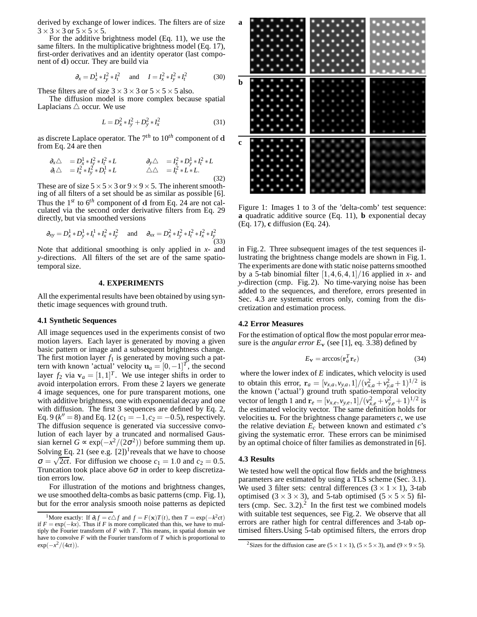derived by exchange of lower indices. The filters are of size  $3 \times 3 \times 3$  or  $5 \times 5 \times 5$ .

For the additive brightness model (Eq. 11), we use the same filters. In the multiplicative brightness model (Eq. 17), first-order derivatives and an identity operator (last component of d) occur. They are build via

$$
\partial_x = D_x^1 * I_y^2 * I_t^2
$$
 and  $I = I_x^2 * I_y^2 * I_t^2$  (30)

These filters are of size  $3 \times 3 \times 3$  or  $5 \times 5 \times 5$  also.

The diffusion model is more complex because spatial Laplacians  $\triangle$  occur. We use

$$
L = D_x^2 * I_y^2 + D_y^2 * I_x^2 \tag{31}
$$

as discrete Laplace operator. The 7*th* to 10*th* component of d from Eq. 24 are then

$$
\begin{aligned}\n\partial_x \triangle &= D_x^1 * I_y^2 * I_t^2 * L \\
\partial_t \triangle &= I_x^2 * I_y^2 * D_t^1 * L \\
\triangle \triangle &= I_t^2 * L^2.\n\end{aligned}\n\qquad\n\begin{aligned}\n\partial_y \triangle &= I_x^2 * D_y^1 * I_t^2 * L \\
\triangle \triangle &= I_t^2 * L * L.\n\end{aligned}
$$
\n(32)

These are of size  $5 \times 5 \times 3$  or  $9 \times 9 \times 5$ . The inherent smoothing of all filters of a set should be as similar as possible [6]. Thus the  $1^{st}$  to  $6^{th}$  component of d from Eq. 24 are not calculated via the second order derivative filters from Eq. 29 directly, but via smoothed versions

$$
\partial_{xy} = D_x^1 * D_y^1 * I_t^1 * I_x^2 * I_y^2 \quad \text{and} \quad \partial_{xx} = D_x^2 * I_y^2 * I_t^2 * I_x^2 * I_y^2 \tag{33}
$$

Note that additional smoothing is only applied in *x*- and *y*-directions. All filters of the set are of the same spatiotemporal size.

#### **4. EXPERIMENTS**

All the experimental results have been obtained by using synthetic image sequences with ground truth.

## **4.1 Synthetic Sequences**

All image sequences used in the experiments consist of two motion layers. Each layer is generated by moving a given basic pattern or image and a subsequent brightness change. The first motion layer  $f_1$  is generated by moving such a pattern with known 'actual' velocity  $\mathbf{u}_a = [0, -1]^T$ , the second layer  $f_2$  via  $\mathbf{v}_a = [1, 1]^T$ . We use integer shifts in order to avoid interpolation errors. From these 2 layers we generate 4 image sequences, one for pure transparent motions, one with additive brightness, one with exponential decay and one with diffusion. The first 3 sequences are defined by Eq. 2, Eq. 9 ( $k'' = 8$ ) and Eq. 12 ( $c_1 = -1$ ,  $c_2 = -0.5$ ), respectively. The diffusion sequence is generated via successive convolution of each layer by a truncated and normalised Gaussian kernel  $G \propto \exp(-x^2/(2\sigma^2))$  before summing them up. Solving Eq. 21 (see e.g.  $[2]$ )<sup>1</sup> reveals that we have to choose  $\sigma = \sqrt{2ct}$ . For diffusion we choose  $c_1 = 1.0$  and  $c_2 = 0.5$ . Truncation took place above  $6\sigma$  in order to keep discretization errors low.

For illustration of the motions and brightness changes, we use smoothed delta-combs as basic patterns (cmp. Fig.1), but for the error analysis smooth noise patterns as depicted



Figure 1: Images 1 to 3 of the 'delta-comb' test sequence: **a** quadratic additive source (Eq. 11), **b** exponential decay (Eq. 17), **c** diffusion (Eq. 24).

in Fig.2. Three subsequent images of the test sequences illustrating the brightness change models are shown in Fig.1. The experiments are done with static noise patterns smoothed by a 5-tab binomial filter  $[1,4,6,4,1]/16$  applied in *x*- and *y*-direction (cmp. Fig.2). No time-varying noise has been added to the sequences, and therefore, errors presented in Sec. 4.3 are systematic errors only, coming from the discretization and estimation process.

## **4.2 Error Measures**

For the estimation of optical flow the most popular error measure is the *angular error*  $E_v$  (see [1], eq. 3.38) defined by

$$
E_{\mathbf{v}} = \arccos(\mathbf{r}_a^T \mathbf{r}_e) \tag{34}
$$

where the lower index of *E* indicates, which velocity is used to obtain this error,  $\mathbf{r}_a = [v_{x,a}, v_{y,a}, 1]/(v_{x,a}^2 + v_{y,a}^2 + 1)^{1/2}$  is the known ('actual') ground truth spatio-temporal velocity vector of length 1 and  $\mathbf{r}_e = [v_{x,e}, v_{y,e}, 1]/(v_{x,e}^2 + v_{y,e}^2 + 1)^{1/2}$  is the estimated velocity vector. The same definition holds for velocities u. For the brightness change parameters *c*, we use the relative deviation  $E_c$  between known and estimated  $c$ 's giving the systematic error. These errors can be minimised by an optimal choice of filter families as demonstrated in [6].

# **4.3 Results**

We tested how well the optical flow fields and the brightness parameters are estimated by using a TLS scheme (Sec. 3.1). We used 3 filter sets: central differences  $(3 \times 1 \times 1)$ , 3-tab optimised  $(3 \times 3 \times 3)$ , and 5-tab optimised  $(5 \times 5 \times 5)$  filters (cmp. Sec. 3.2). $^2$  In the first test we combined models with suitable test sequences, see Fig.2. We observe that all errors are rather high for central differences and 3-tab optimised filters.Using 5-tab optimised filters, the errors drop

<sup>&</sup>lt;sup>1</sup>More</sup> exactly: If  $\partial_t f = c \triangle f$  and  $f = F(\mathbf{x})T(t)$ , then  $T = \exp(-k^2 ct)$ if  $F = \exp(-kx)$ . Thus if *F* is more complicated than this, we have to multiply the Fourier transform of *F* with *T*. This means, in spatial domain we have to convolve *F* with the Fourier transform of *T* which is proportional to  $\exp(-x^2/(4ct)).$ 

<sup>&</sup>lt;sup>2</sup>Sizes for the diffusion case are  $(5 \times 1 \times 1)$ ,  $(5 \times 5 \times 3)$ , and  $(9 \times 9 \times 5)$ .